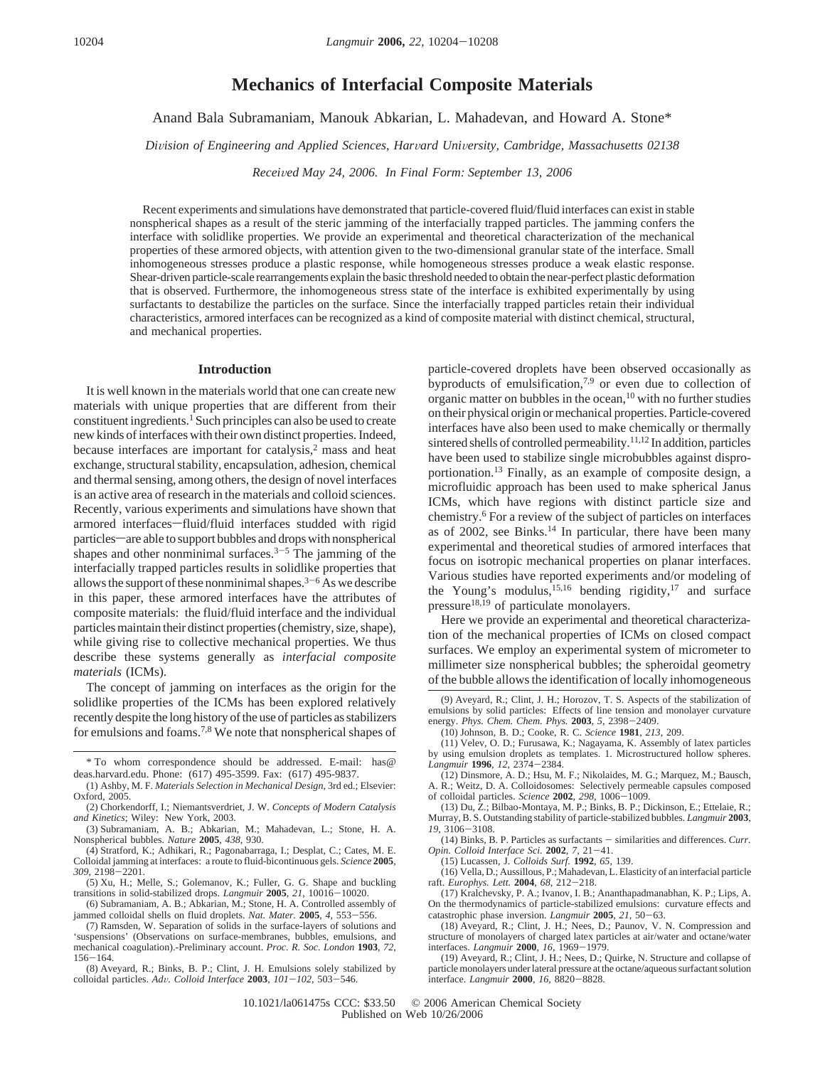# **Mechanics of Interfacial Composite Materials**

Anand Bala Subramaniam, Manouk Abkarian, L. Mahadevan, and Howard A. Stone\*

*Division of Engineering and Applied Sciences, Harvard University, Cambridge, Massachusetts 02138* 

*Recei*V*ed May 24, 2006. In Final Form: September 13, 2006*

Recent experiments and simulations have demonstrated that particle-covered fluid/fluid interfaces can exist in stable nonspherical shapes as a result of the steric jamming of the interfacially trapped particles. The jamming confers the interface with solidlike properties. We provide an experimental and theoretical characterization of the mechanical properties of these armored objects, with attention given to the two-dimensional granular state of the interface. Small inhomogeneous stresses produce a plastic response, while homogeneous stresses produce a weak elastic response. Shear-driven particle-scale rearrangements explain the basic threshold needed to obtain the near-perfect plastic deformation that is observed. Furthermore, the inhomogeneous stress state of the interface is exhibited experimentally by using surfactants to destabilize the particles on the surface. Since the interfacially trapped particles retain their individual characteristics, armored interfaces can be recognized as a kind of composite material with distinct chemical, structural, and mechanical properties.

#### **Introduction**

It is well known in the materials world that one can create new materials with unique properties that are different from their constituent ingredients.<sup>1</sup> Such principles can also be used to create new kinds of interfaces with their own distinct properties. Indeed, because interfaces are important for catalysis, $2$  mass and heat exchange, structural stability, encapsulation, adhesion, chemical and thermal sensing, among others, the design of novel interfaces is an active area of research in the materials and colloid sciences. Recently, various experiments and simulations have shown that armored interfaces-fluid/fluid interfaces studded with rigid particles—are able to support bubbles and drops with nonspherical shapes and other nonminimal surfaces.<sup>3-5</sup> The jamming of the interfacially trapped particles results in solidlike properties that allows the support of these nonminimal shapes.<sup>3-6</sup> As we describe in this paper, these armored interfaces have the attributes of composite materials: the fluid/fluid interface and the individual particles maintain their distinct properties (chemistry, size, shape), while giving rise to collective mechanical properties. We thus describe these systems generally as *interfacial composite materials* (ICMs).

The concept of jamming on interfaces as the origin for the solidlike properties of the ICMs has been explored relatively recently despite the long history of the use of particles as stabilizers for emulsions and foams.7,8 We note that nonspherical shapes of

jammed colloidal shells on fluid droplets. *Nat. Mater.* **<sup>2005</sup>**, *<sup>4</sup>*, 553-556.

(7) Ramsden, W. Separation of solids in the surface-layers of solutions and 'suspensions' (Observations on surface-membranes, bubbles, emulsions, and mechanical coagulation).-Preliminary account. *Proc. R. Soc. London* **1903**, *72*,

<sup>156</sup>-164. (8) Aveyard, R.; Binks, B. P.; Clint, J. H. Emulsions solely stabilized by colloidal particles. *Ad*V*. Colloid Interface* **<sup>2003</sup>**, *<sup>101</sup>*-*102*, 503-546.

particle-covered droplets have been observed occasionally as byproducts of emulsification,<sup>7,9</sup> or even due to collection of organic matter on bubbles in the ocean,<sup>10</sup> with no further studies on their physical origin or mechanical properties. Particle-covered interfaces have also been used to make chemically or thermally sintered shells of controlled permeability.11,12 In addition, particles have been used to stabilize single microbubbles against disproportionation.13 Finally, as an example of composite design, a microfluidic approach has been used to make spherical Janus ICMs, which have regions with distinct particle size and chemistry.6 For a review of the subject of particles on interfaces as of 2002, see Binks.<sup>14</sup> In particular, there have been many experimental and theoretical studies of armored interfaces that focus on isotropic mechanical properties on planar interfaces. Various studies have reported experiments and/or modeling of the Young's modulus,<sup>15,16</sup> bending rigidity,<sup>17</sup> and surface pressure<sup>18,19</sup> of particulate monolayers.

Here we provide an experimental and theoretical characterization of the mechanical properties of ICMs on closed compact surfaces. We employ an experimental system of micrometer to millimeter size nonspherical bubbles; the spheroidal geometry of the bubble allows the identification of locally inhomogeneous

(11) Velev, O. D.; Furusawa, K.; Nagayama, K. Assembly of latex particles by using emulsion droplets as templates. 1. Microstructured hollow spheres. *Langmuir* **<sup>1996</sup>**, *<sup>12</sup>*, 2374-2384.

of colloidal particles. *Science* **<sup>2002</sup>**, *<sup>298</sup>*, 1006-1009. (13) Du, Z.; Bilbao-Montaya, M. P.; Binks, B. P.; Dickinson, E.; Ettelaie, R.; Murray, B. S. Outstanding stability of particle-stabilized bubbles. *Langmuir* **2003**, *<sup>19</sup>*, 3106-3108.

(14) Binks, B. P. Particles as surfactants - similarities and differences. *Curr. Opin. Colloid Interface Sci.* **<sup>2002</sup>**, *<sup>7</sup>*, 21-41.

(15) Lucassen, J. *Colloids Surf.* **1992**, *65*, 139.

(16) Vella, D.; Aussillous, P.; Mahadevan, L. Elasticity of an interfacial particle raft. *Europhys. Lett.* **<sup>2004</sup>**, *<sup>68</sup>*, 212-218.

(17) Kralchevsky, P. A.; Ivanov, I. B.; Ananthapadmanabhan, K. P.; Lips, A. On the thermodynamics of particle-stabilized emulsions: curvature effects and catastrophic phase inversion. *Langmuir* **<sup>2005</sup>**, *<sup>21</sup>*, 50-63.

(18) Aveyard, R.; Clint, J. H.; Nees, D.; Paunov, V. N. Compression and structure of monolayers of charged latex particles at air/water and octane/water

interfaces. *Langmuir* **<sup>2000</sup>**, *<sup>16</sup>*, 1969-1979. (19) Aveyard, R.; Clint, J. H.; Nees, D.; Quirke, N. Structure and collapse of particle monolayers under lateral pressure at the octane/aqueous surfactant solution interface. *Langmuir* **<sup>2000</sup>**, *<sup>16</sup>*, 8820-8828.

<sup>\*</sup> To whom correspondence should be addressed. E-mail: has@ deas.harvard.edu. Phone: (617) 495-3599. Fax: (617) 495-9837.

<sup>(1)</sup> Ashby, M. F. *Materials Selection in Mechanical Design*, 3rd ed.; Elsevier: Oxford, 2005.

<sup>(2)</sup> Chorkendorff, I.; Niemantsverdriet, J. W. *Concepts of Modern Catalysis and Kinetics*; Wiley: New York, 2003.

<sup>(3)</sup> Subramaniam, A. B.; Abkarian, M.; Mahadevan, L.; Stone, H. A. Nonspherical bubbles. *Nature* **2005**, *438*, 930.

<sup>(4)</sup> Stratford, K.; Adhikari, R.; Pagonabarraga, I.; Desplat, C.; Cates, M. E. Colloidal jamming at interfaces: a route to fluid-bicontinuous gels. *Science* **2005**, *<sup>309</sup>*, 2198-2201. (5) Xu, H.; Melle, S.; Golemanov, K.; Fuller, G. G. Shape and buckling

transitions in solid-stabilized drops. *Langmuir* **<sup>2005</sup>**, *<sup>21</sup>*, 10016-10020. (6) Subramaniam, A. B.; Abkarian, M.; Stone, H. A. Controlled assembly of

<sup>(9)</sup> Aveyard, R.; Clint, J. H.; Horozov, T. S. Aspects of the stabilization of emulsions by solid particles: Effects of line tension and monolayer curvature energy. *Phys. Chem. Chem. Phys.* **<sup>2003</sup>**, *<sup>5</sup>*, 2398-2409.

<sup>(10)</sup> Johnson, B. D.; Cooke, R. C. *Science* **1981**, *213*, 209.

<sup>(12)</sup> Dinsmore, A. D.; Hsu, M. F.; Nikolaides, M. G.; Marquez, M.; Bausch, A. R.; Weitz, D. A. Colloidosomes: Selectively permeable capsules composed of colloidal particles. Science 2002, 298, 1006-1009.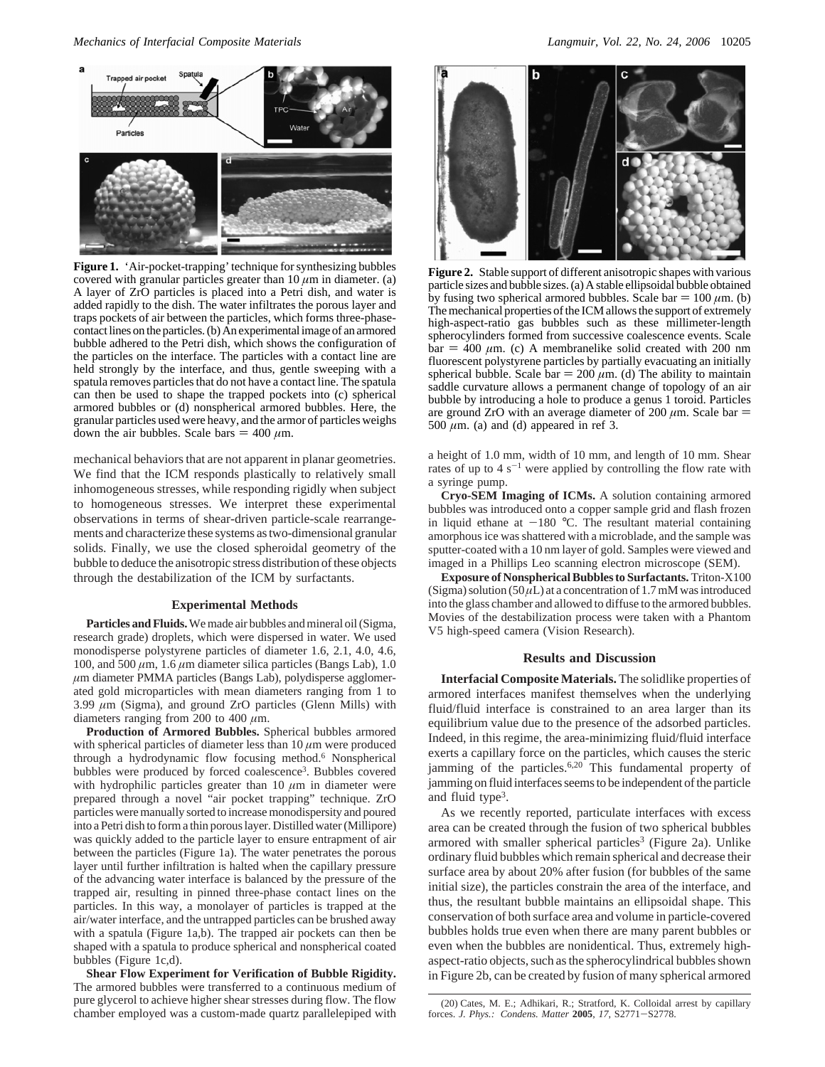

**Figure 1.** 'Air-pocket-trapping' technique for synthesizing bubbles covered with granular particles greater than  $10 \mu m$  in diameter. (a) A layer of ZrO particles is placed into a Petri dish, and water is added rapidly to the dish. The water infiltrates the porous layer and traps pockets of air between the particles, which forms three-phasecontact lines on the particles. (b) An experimental image of an armored bubble adhered to the Petri dish, which shows the configuration of the particles on the interface. The particles with a contact line are held strongly by the interface, and thus, gentle sweeping with a spatula removes particles that do not have a contact line. The spatula can then be used to shape the trapped pockets into (c) spherical armored bubbles or (d) nonspherical armored bubbles. Here, the granular particles used were heavy, and the armor of particles weighs down the air bubbles. Scale bars  $= 400 \mu m$ .

mechanical behaviors that are not apparent in planar geometries. We find that the ICM responds plastically to relatively small inhomogeneous stresses, while responding rigidly when subject to homogeneous stresses. We interpret these experimental observations in terms of shear-driven particle-scale rearrangements and characterize these systems as two-dimensional granular solids. Finally, we use the closed spheroidal geometry of the bubble to deduce the anisotropic stress distribution of these objects through the destabilization of the ICM by surfactants.

#### **Experimental Methods**

**Particles and Fluids.**We made air bubbles and mineral oil (Sigma, research grade) droplets, which were dispersed in water. We used monodisperse polystyrene particles of diameter 1.6, 2.1, 4.0, 4.6, 100, and 500 *µ*m, 1.6 *µ*m diameter silica particles (Bangs Lab), 1.0 *µ*m diameter PMMA particles (Bangs Lab), polydisperse agglomerated gold microparticles with mean diameters ranging from 1 to 3.99  $\mu$ m (Sigma), and ground ZrO particles (Glenn Mills) with diameters ranging from 200 to 400 *µ*m.

**Production of Armored Bubbles.** Spherical bubbles armored with spherical particles of diameter less than  $10 \mu m$  were produced through a hydrodynamic flow focusing method.6 Nonspherical bubbles were produced by forced coalescence<sup>3</sup>. Bubbles covered with hydrophilic particles greater than  $10 \mu m$  in diameter were prepared through a novel "air pocket trapping" technique. ZrO particles were manually sorted to increase monodispersity and poured into a Petri dish to form a thin porous layer. Distilled water (Millipore) was quickly added to the particle layer to ensure entrapment of air between the particles (Figure 1a). The water penetrates the porous layer until further infiltration is halted when the capillary pressure of the advancing water interface is balanced by the pressure of the trapped air, resulting in pinned three-phase contact lines on the particles. In this way, a monolayer of particles is trapped at the air/water interface, and the untrapped particles can be brushed away with a spatula (Figure 1a,b). The trapped air pockets can then be shaped with a spatula to produce spherical and nonspherical coated bubbles (Figure 1c,d).

**Shear Flow Experiment for Verification of Bubble Rigidity.** The armored bubbles were transferred to a continuous medium of pure glycerol to achieve higher shear stresses during flow. The flow chamber employed was a custom-made quartz parallelepiped with



**Figure 2.** Stable support of different anisotropic shapes with various particle sizes and bubble sizes. (a) A stable ellipsoidal bubble obtained by fusing two spherical armored bubbles. Scale bar  $= 100 \mu m$ . (b) The mechanical properties of the ICM allows the support of extremely high-aspect-ratio gas bubbles such as these millimeter-length spherocylinders formed from successive coalescence events. Scale  $bar = 400 \mu m$ . (c) A membranelike solid created with 200 nm fluorescent polystyrene particles by partially evacuating an initially spherical bubble. Scale bar  $= 200 \mu m$ . (d) The ability to maintain saddle curvature allows a permanent change of topology of an air bubble by introducing a hole to produce a genus 1 toroid. Particles are ground ZrO with an average diameter of 200  $\mu$ m. Scale bar = 500  $\mu$ m. (a) and (d) appeared in ref 3.

a height of 1.0 mm, width of 10 mm, and length of 10 mm. Shear rates of up to  $4 s<sup>-1</sup>$  were applied by controlling the flow rate with a syringe pump.

**Cryo-SEM Imaging of ICMs.** A solution containing armored bubbles was introduced onto a copper sample grid and flash frozen in liquid ethane at  $-180$  °C. The resultant material containing amorphous ice was shattered with a microblade, and the sample was sputter-coated with a 10 nm layer of gold. Samples were viewed and imaged in a Phillips Leo scanning electron microscope (SEM).

**Exposure of Nonspherical Bubbles to Surfactants.** Triton-X100 (Sigma) solution  $(50 \mu L)$  at a concentration of 1.7 mM was introduced into the glass chamber and allowed to diffuse to the armored bubbles. Movies of the destabilization process were taken with a Phantom V5 high-speed camera (Vision Research).

## **Results and Discussion**

**Interfacial Composite Materials.** The solidlike properties of armored interfaces manifest themselves when the underlying fluid/fluid interface is constrained to an area larger than its equilibrium value due to the presence of the adsorbed particles. Indeed, in this regime, the area-minimizing fluid/fluid interface exerts a capillary force on the particles, which causes the steric jamming of the particles.<sup>6,20</sup> This fundamental property of jamming on fluid interfaces seems to be independent of the particle and fluid type<sup>3</sup>.

As we recently reported, particulate interfaces with excess area can be created through the fusion of two spherical bubbles armored with smaller spherical particles<sup>3</sup> (Figure 2a). Unlike ordinary fluid bubbles which remain spherical and decrease their surface area by about 20% after fusion (for bubbles of the same initial size), the particles constrain the area of the interface, and thus, the resultant bubble maintains an ellipsoidal shape. This conservation of both surface area and volume in particle-covered bubbles holds true even when there are many parent bubbles or even when the bubbles are nonidentical. Thus, extremely highaspect-ratio objects, such as the spherocylindrical bubbles shown in Figure 2b, can be created by fusion of many spherical armored

<sup>(20)</sup> Cates, M. E.; Adhikari, R.; Stratford, K. Colloidal arrest by capillary forces. *J. Phys.: Condens. Matter* **<sup>2005</sup>**, *<sup>17</sup>*, S2771-S2778.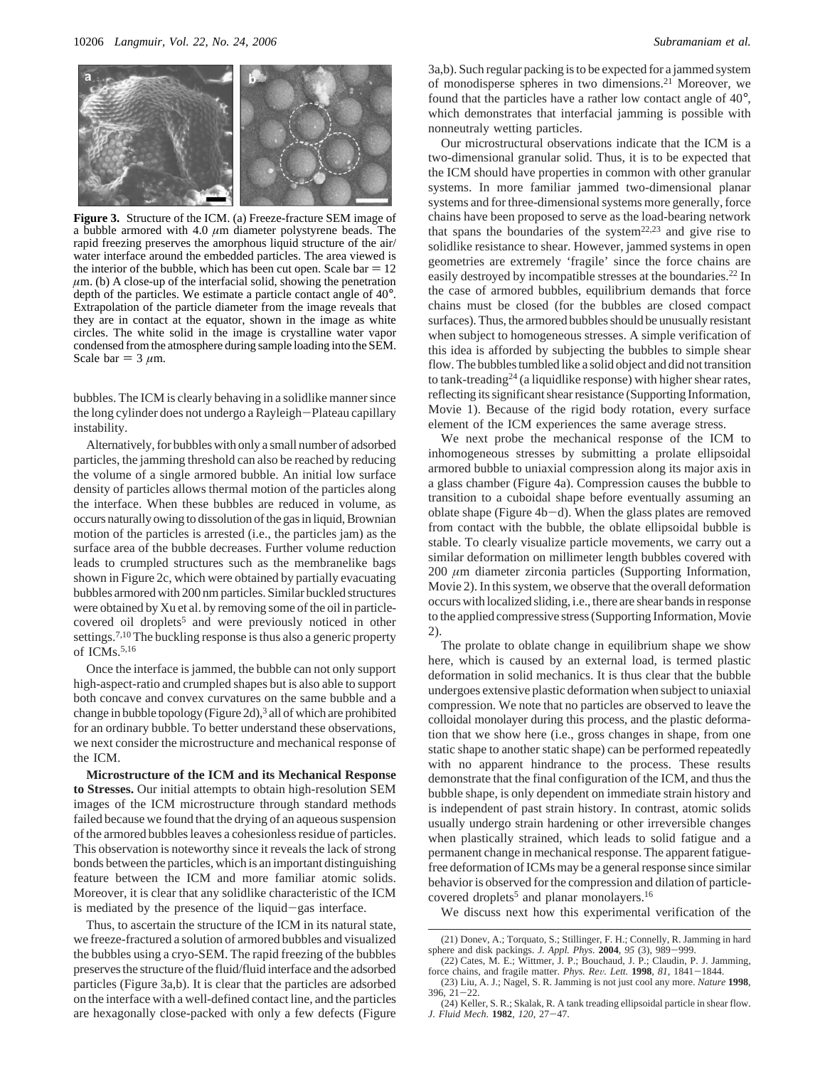

**Figure 3.** Structure of the ICM. (a) Freeze-fracture SEM image of a bubble armored with 4.0  $\mu$ m diameter polystyrene beads. The rapid freezing preserves the amorphous liquid structure of the air/ water interface around the embedded particles. The area viewed is the interior of the bubble, which has been cut open. Scale bar  $= 12$  $\mu$ m. (b) A close-up of the interfacial solid, showing the penetration depth of the particles. We estimate a particle contact angle of 40°. Extrapolation of the particle diameter from the image reveals that they are in contact at the equator, shown in the image as white circles. The white solid in the image is crystalline water vapor condensed from the atmosphere during sample loading into the SEM. Scale bar  $= 3 \mu m$ .

bubbles. The ICM is clearly behaving in a solidlike manner since the long cylinder does not undergo a Rayleigh-Plateau capillary instability.

Alternatively, for bubbles with only a small number of adsorbed particles, the jamming threshold can also be reached by reducing the volume of a single armored bubble. An initial low surface density of particles allows thermal motion of the particles along the interface. When these bubbles are reduced in volume, as occurs naturally owing to dissolution of the gas in liquid, Brownian motion of the particles is arrested (i.e., the particles jam) as the surface area of the bubble decreases. Further volume reduction leads to crumpled structures such as the membranelike bags shown in Figure 2c, which were obtained by partially evacuating bubbles armored with 200 nm particles. Similar buckled structures were obtained by Xu et al. by removing some of the oil in particlecovered oil droplets<sup>5</sup> and were previously noticed in other settings.<sup>7,10</sup> The buckling response is thus also a generic property of  $ICMs<sub>5,16</sub>$ 

Once the interface is jammed, the bubble can not only support high-aspect-ratio and crumpled shapes but is also able to support both concave and convex curvatures on the same bubble and a change in bubble topology (Figure 2d),<sup>3</sup> all of which are prohibited for an ordinary bubble. To better understand these observations, we next consider the microstructure and mechanical response of the ICM.

**Microstructure of the ICM and its Mechanical Response to Stresses.** Our initial attempts to obtain high-resolution SEM images of the ICM microstructure through standard methods failed because we found that the drying of an aqueous suspension of the armored bubbles leaves a cohesionless residue of particles. This observation is noteworthy since it reveals the lack of strong bonds between the particles, which is an important distinguishing feature between the ICM and more familiar atomic solids. Moreover, it is clear that any solidlike characteristic of the ICM is mediated by the presence of the liquid-gas interface.

Thus, to ascertain the structure of the ICM in its natural state, we freeze-fractured a solution of armored bubbles and visualized the bubbles using a cryo-SEM. The rapid freezing of the bubbles preserves the structure of the fluid/fluid interface and the adsorbed particles (Figure 3a,b). It is clear that the particles are adsorbed on the interface with a well-defined contact line, and the particles are hexagonally close-packed with only a few defects (Figure

3a,b). Such regular packing is to be expected for a jammed system of monodisperse spheres in two dimensions.21 Moreover, we found that the particles have a rather low contact angle of 40°, which demonstrates that interfacial jamming is possible with nonneutraly wetting particles.

Our microstructural observations indicate that the ICM is a two-dimensional granular solid. Thus, it is to be expected that the ICM should have properties in common with other granular systems. In more familiar jammed two-dimensional planar systems and for three-dimensional systems more generally, force chains have been proposed to serve as the load-bearing network that spans the boundaries of the system22,23 and give rise to solidlike resistance to shear. However, jammed systems in open geometries are extremely 'fragile' since the force chains are easily destroyed by incompatible stresses at the boundaries.22 In the case of armored bubbles, equilibrium demands that force chains must be closed (for the bubbles are closed compact surfaces). Thus, the armored bubbles should be unusually resistant when subject to homogeneous stresses. A simple verification of this idea is afforded by subjecting the bubbles to simple shear flow. The bubbles tumbled like a solid object and did not transition to tank-treading<sup>24</sup> (a liquidlike response) with higher shear rates, reflecting its significant shear resistance (Supporting Information, Movie 1). Because of the rigid body rotation, every surface element of the ICM experiences the same average stress.

We next probe the mechanical response of the ICM to inhomogeneous stresses by submitting a prolate ellipsoidal armored bubble to uniaxial compression along its major axis in a glass chamber (Figure 4a). Compression causes the bubble to transition to a cuboidal shape before eventually assuming an oblate shape (Figure  $4b-d$ ). When the glass plates are removed from contact with the bubble, the oblate ellipsoidal bubble is stable. To clearly visualize particle movements, we carry out a similar deformation on millimeter length bubbles covered with 200 *µ*m diameter zirconia particles (Supporting Information, Movie 2). In this system, we observe that the overall deformation occurs with localized sliding, i.e., there are shear bands in response to the applied compressive stress (Supporting Information, Movie 2).

The prolate to oblate change in equilibrium shape we show here, which is caused by an external load, is termed plastic deformation in solid mechanics. It is thus clear that the bubble undergoes extensive plastic deformation when subject to uniaxial compression. We note that no particles are observed to leave the colloidal monolayer during this process, and the plastic deformation that we show here (i.e., gross changes in shape, from one static shape to another static shape) can be performed repeatedly with no apparent hindrance to the process. These results demonstrate that the final configuration of the ICM, and thus the bubble shape, is only dependent on immediate strain history and is independent of past strain history. In contrast, atomic solids usually undergo strain hardening or other irreversible changes when plastically strained, which leads to solid fatigue and a permanent change in mechanical response. The apparent fatiguefree deformation of ICMs may be a general response since similar behavior is observed for the compression and dilation of particlecovered droplets<sup>5</sup> and planar monolayers.<sup>16</sup>

We discuss next how this experimental verification of the

<sup>(21)</sup> Donev, A.; Torquato, S.; Stillinger, F. H.; Connelly, R. Jamming in hard sphere and disk packings. *J. Appl. Phys.* **<sup>2004</sup>**, *<sup>95</sup>* (3), 989-999.

<sup>(22)</sup> Cates, M. E.; Wittmer, J. P.; Bouchaud, J. P.; Claudin, P. J. Jamming, force chains, and fragile matter. *Phys. Re*V*. Lett.* **<sup>1998</sup>**, *<sup>81</sup>*, 1841-1844.

<sup>(23)</sup> Liu, A. J.; Nagel, S. R. Jamming is not just cool any more. *Nature* **1998**, 396, 21-22.

<sup>(24)</sup> Keller, S. R.; Skalak, R. A tank treading ellipsoidal particle in shear flow. *J. Fluid Mech*. **<sup>1982</sup>**, *<sup>120</sup>*, 27-47.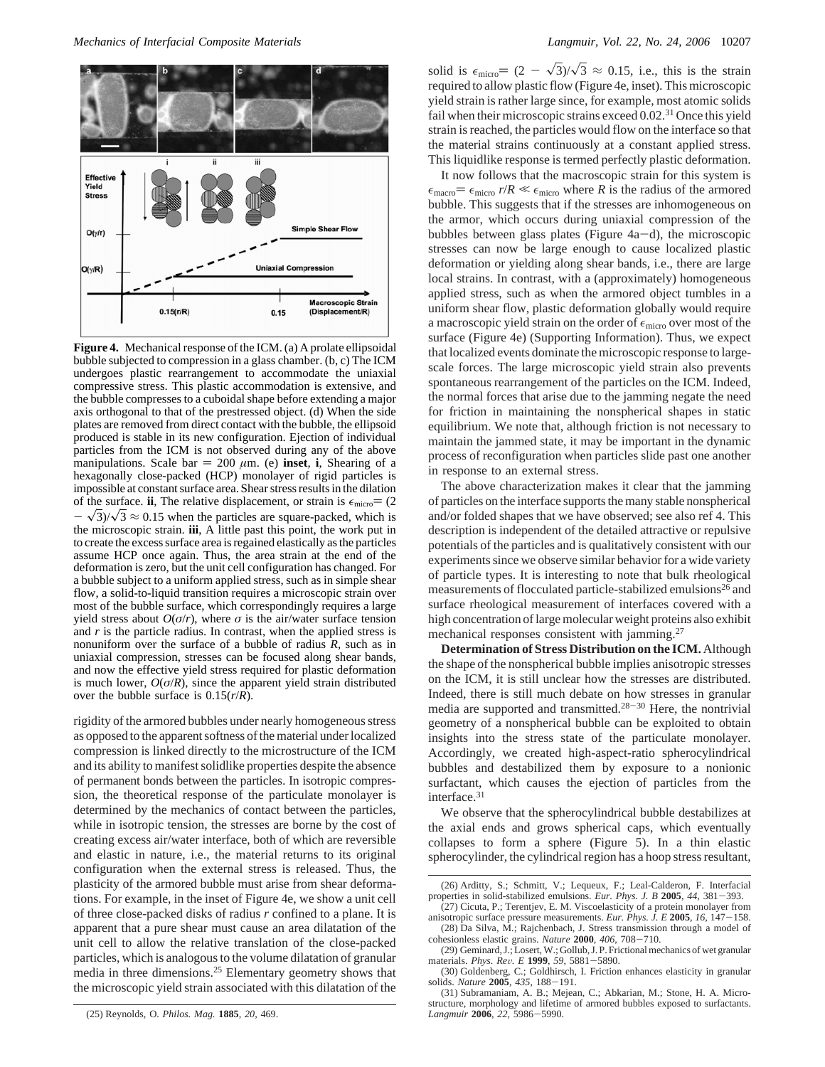

**Figure 4.** Mechanical response of the ICM. (a) A prolate ellipsoidal bubble subjected to compression in a glass chamber. (b, c) The ICM undergoes plastic rearrangement to accommodate the uniaxial compressive stress. This plastic accommodation is extensive, and the bubble compresses to a cuboidal shape before extending a major axis orthogonal to that of the prestressed object. (d) When the side plates are removed from direct contact with the bubble, the ellipsoid produced is stable in its new configuration. Ejection of individual particles from the ICM is not observed during any of the above manipulations. Scale bar  $= 200 \mu m$ . (e) **inset**, **i**, Shearing of a hexagonally close-packed (HCP) monolayer of rigid particles is impossible at constant surface area. Shear stress results in the dilation of the surface. **ii**, The relative displacement, or strain is  $\epsilon_{micro} = (2$  $-\sqrt{3}/\sqrt{3} \approx 0.15$  when the particles are square-packed, which is the microscopic strain. **iii**, A little past this point, the work put in to create the excess surface area is regained elastically as the particles assume HCP once again. Thus, the area strain at the end of the deformation is zero, but the unit cell configuration has changed. For a bubble subject to a uniform applied stress, such as in simple shear flow, a solid-to-liquid transition requires a microscopic strain over most of the bubble surface, which correspondingly requires a large yield stress about  $O(\sigma/r)$ , where  $\sigma$  is the air/water surface tension and *r* is the particle radius. In contrast, when the applied stress is nonuniform over the surface of a bubble of radius *R*, such as in uniaxial compression, stresses can be focused along shear bands, and now the effective yield stress required for plastic deformation is much lower,  $O(\sigma/R)$ , since the apparent yield strain distributed over the bubble surface is 0.15(*r*/*R*).

rigidity of the armored bubbles under nearly homogeneous stress as opposed to the apparent softness of the material under localized compression is linked directly to the microstructure of the ICM and its ability to manifest solidlike properties despite the absence of permanent bonds between the particles. In isotropic compression, the theoretical response of the particulate monolayer is determined by the mechanics of contact between the particles, while in isotropic tension, the stresses are borne by the cost of creating excess air/water interface, both of which are reversible and elastic in nature, i.e., the material returns to its original configuration when the external stress is released. Thus, the plasticity of the armored bubble must arise from shear deformations. For example, in the inset of Figure 4e, we show a unit cell of three close-packed disks of radius *r* confined to a plane. It is apparent that a pure shear must cause an area dilatation of the unit cell to allow the relative translation of the close-packed particles, which is analogous to the volume dilatation of granular media in three dimensions.<sup>25</sup> Elementary geometry shows that the microscopic yield strain associated with this dilatation of the

(25) Reynolds, O. *Philos. Mag.* **1885**, *20*, 469.

solid is  $\epsilon_{micro} = (2 - \sqrt{3})/\sqrt{3} \approx 0.15$ , i.e., this is the strain required to allow plastic flow (Figure 4e, inset). This microscopic yield strain is rather large since, for example, most atomic solids fail when their microscopic strains exceed 0.02.<sup>31</sup> Once this yield strain is reached, the particles would flow on the interface so that the material strains continuously at a constant applied stress. This liquidlike response is termed perfectly plastic deformation.

It now follows that the macroscopic strain for this system is  $\epsilon_{\text{macro}} = \epsilon_{\text{micro}} r/R \ll \epsilon_{\text{micro}}$  where *R* is the radius of the armored bubble. This suggests that if the stresses are inhomogeneous on the armor, which occurs during uniaxial compression of the bubbles between glass plates (Figure  $4a-d$ ), the microscopic stresses can now be large enough to cause localized plastic deformation or yielding along shear bands, i.e., there are large local strains. In contrast, with a (approximately) homogeneous applied stress, such as when the armored object tumbles in a uniform shear flow, plastic deformation globally would require a macroscopic yield strain on the order of  $\epsilon_{micro}$  over most of the surface (Figure 4e) (Supporting Information). Thus, we expect that localized events dominate the microscopic response to largescale forces. The large microscopic yield strain also prevents spontaneous rearrangement of the particles on the ICM. Indeed, the normal forces that arise due to the jamming negate the need for friction in maintaining the nonspherical shapes in static equilibrium. We note that, although friction is not necessary to maintain the jammed state, it may be important in the dynamic process of reconfiguration when particles slide past one another in response to an external stress.

The above characterization makes it clear that the jamming of particles on the interface supports the many stable nonspherical and/or folded shapes that we have observed; see also ref 4. This description is independent of the detailed attractive or repulsive potentials of the particles and is qualitatively consistent with our experiments since we observe similar behavior for a wide variety of particle types. It is interesting to note that bulk rheological measurements of flocculated particle-stabilized emulsions<sup>26</sup> and surface rheological measurement of interfaces covered with a high concentration of large molecular weight proteins also exhibit mechanical responses consistent with jamming.<sup>27</sup>

**Determination of Stress Distribution on the ICM.** Although the shape of the nonspherical bubble implies anisotropic stresses on the ICM, it is still unclear how the stresses are distributed. Indeed, there is still much debate on how stresses in granular media are supported and transmitted.28-<sup>30</sup> Here, the nontrivial geometry of a nonspherical bubble can be exploited to obtain insights into the stress state of the particulate monolayer. Accordingly, we created high-aspect-ratio spherocylindrical bubbles and destabilized them by exposure to a nonionic surfactant, which causes the ejection of particles from the interface.31

We observe that the spherocylindrical bubble destabilizes at the axial ends and grows spherical caps, which eventually collapses to form a sphere (Figure 5). In a thin elastic spherocylinder, the cylindrical region has a hoop stress resultant,

<sup>(26)</sup> Arditty, S.; Schmitt, V.; Lequeux, F.; Leal-Calderon, F. Interfacial properties in solid-stabilized emulsions. *Eur. Phys. J. B* **<sup>2005</sup>**, *<sup>44</sup>*, 381-393.

<sup>(27)</sup> Cicuta, P.; Terentjev, E. M. Viscoelasticity of a protein monolayer from anisotropic surface pressure measurements. *Eur. Phys. J. E* **<sup>2005</sup>**, *<sup>16</sup>*, 147-158. (28) Da Silva, M.; Rajchenbach, J. Stress transmission through a model of cohesionless elastic grains. *Nature* **2000**, 406, 708–710.

cohesionless elastic grains. *Nature* **<sup>2000</sup>**, *<sup>406</sup>*, 708-710. (29) Geminard, J.; Losert, W.; Gollub, J. P. Frictional mechanics of wet granular

materials. *Phys. Rev. E* **1999**, *59*, 5881–5890.<br>
(30) Goldenberg, C.; Goldhirsch, I. Friction enhances elasticity in granular<br>
solids. *Nature* **2005**, 435, 188-191.<br>
(31) Subramaniam A B · Meiean C · Abkarian M · Stone

<sup>(31)</sup> Subramaniam, A. B.; Mejean, C.; Abkarian, M.; Stone, H. A. Microstructure, morphology and lifetime of armored bubbles exposed to surfactants. *Langmuir* **<sup>2006</sup>**, *<sup>22</sup>*, 5986-5990.